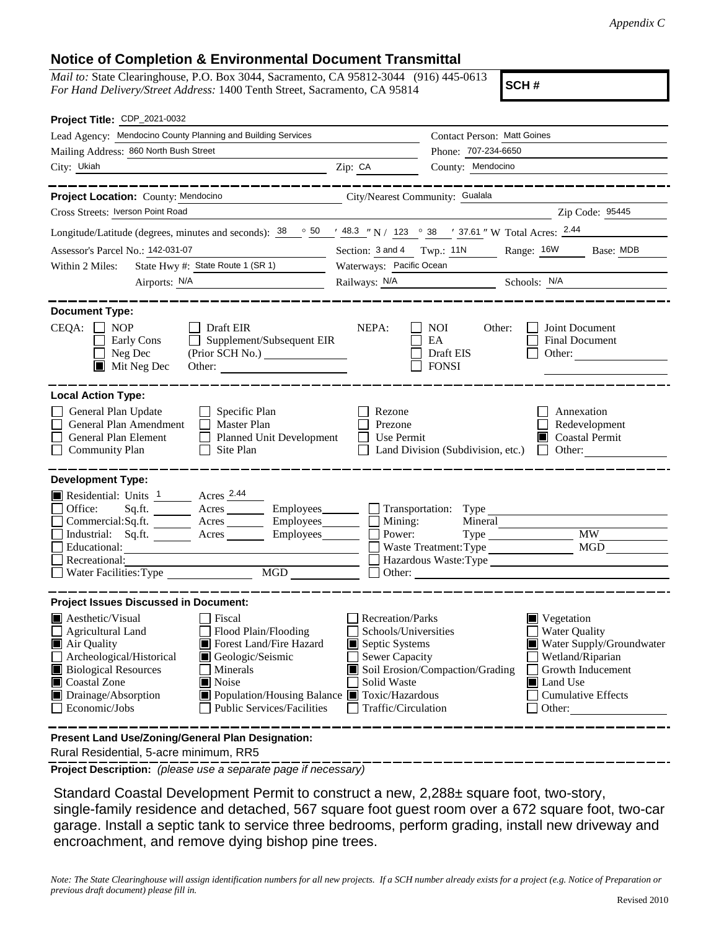## **Notice of Completion & Environmental Document Transmittal**

*Mail to:* State Clearinghouse, P.O. Box 3044, Sacramento, CA 95812-3044 (916) 445-0613 *For Hand Delivery/Street Address:* 1400 Tenth Street, Sacramento, CA 95814

**SCH #**

| Project Title: CDP_2021-0032                                                                                                                                                                                                                                                                                                                                                                                                        |                                                                                                                    |                                                                    |                                                                                                                                                            |  |
|-------------------------------------------------------------------------------------------------------------------------------------------------------------------------------------------------------------------------------------------------------------------------------------------------------------------------------------------------------------------------------------------------------------------------------------|--------------------------------------------------------------------------------------------------------------------|--------------------------------------------------------------------|------------------------------------------------------------------------------------------------------------------------------------------------------------|--|
| Lead Agency: Mendocino County Planning and Building Services                                                                                                                                                                                                                                                                                                                                                                        |                                                                                                                    | Contact Person: Matt Goines                                        |                                                                                                                                                            |  |
| Mailing Address: 860 North Bush Street                                                                                                                                                                                                                                                                                                                                                                                              | Phone: 707-234-6650                                                                                                |                                                                    |                                                                                                                                                            |  |
| City: Ukiah<br><u> 1980 - Johann John Stein, markin santa a shekara ta 1980 - An tsa a shekara ta 1980 - An tsa a shekara tsa a</u>                                                                                                                                                                                                                                                                                                 | Zip: CA                                                                                                            | County: Mendocino                                                  |                                                                                                                                                            |  |
|                                                                                                                                                                                                                                                                                                                                                                                                                                     |                                                                                                                    |                                                                    |                                                                                                                                                            |  |
| Project Location: County: Mendocino                                                                                                                                                                                                                                                                                                                                                                                                 | City/Nearest Community: Gualala                                                                                    |                                                                    |                                                                                                                                                            |  |
| Cross Streets: Iverson Point Road                                                                                                                                                                                                                                                                                                                                                                                                   |                                                                                                                    |                                                                    | Zip Code: 95445                                                                                                                                            |  |
| Longitude/Latitude (degrees, minutes and seconds): $\frac{38}{100}$ $\frac{36}{100}$ $\frac{148.3}{100}$ $\frac{1}{100}$ N / $\frac{123}{100}$ $\frac{38}{100}$ $\frac{1}{37.61}$ W Total Acres: $\frac{2.44}{100}$                                                                                                                                                                                                                 |                                                                                                                    |                                                                    |                                                                                                                                                            |  |
| Assessor's Parcel No.: 142-031-07                                                                                                                                                                                                                                                                                                                                                                                                   | Section: 3 and 4 Twp.: 11N                                                                                         |                                                                    | Range: 16W<br>Base: MDB                                                                                                                                    |  |
| State Hwy #: State Route 1 (SR 1)<br>Within 2 Miles:                                                                                                                                                                                                                                                                                                                                                                                | Waterways: Pacific Ocean                                                                                           |                                                                    |                                                                                                                                                            |  |
| Airports: N/A                                                                                                                                                                                                                                                                                                                                                                                                                       |                                                                                                                    |                                                                    | Railways: N/A Schools: N/A                                                                                                                                 |  |
| <b>Document Type:</b><br>$CEQA: \Box NOP$<br>Draft EIR<br>$\Box$<br>Supplement/Subsequent EIR<br>Early Cons<br>Neg Dec<br>Mit Neg Dec                                                                                                                                                                                                                                                                                               | NEPA:                                                                                                              | <b>NOI</b><br>Other:<br>EA<br>Draft EIS<br><b>FONSI</b>            | Joint Document<br><b>Final Document</b><br>Other:                                                                                                          |  |
| <b>Local Action Type:</b><br>General Plan Update<br>$\Box$ Specific Plan<br>General Plan Amendment<br>$\Box$ Master Plan<br>General Plan Element<br>Planned Unit Development<br><b>Community Plan</b><br>Site Plan<br>$\Box$                                                                                                                                                                                                        | Rezone<br>Prezone<br>Use Permit                                                                                    | Land Division (Subdivision, etc.)                                  | Annexation<br>Redevelopment<br><b>Coastal Permit</b><br>Ш<br>Other:<br>$\mathbf{L}$                                                                        |  |
| <b>Development Type:</b><br>Residential: Units 1 Acres 2.44<br>Office:<br>Commercial:Sq.ft. ________ Acres _______<br>Acres<br>Industrial: Sq.ft.<br>Educational:<br>Recreational:<br>Water Facilities: Type                                                                                                                                                                                                                        | Mining:<br>Power:                                                                                                  | Employees Transportation: Type<br>Mineral<br>Waste Treatment: Type | <b>MW</b><br><b>MGD</b><br>Hazardous Waste:Type                                                                                                            |  |
| <b>Project Issues Discussed in Document:</b><br>$\blacksquare$ Aesthetic/Visual<br>Fiscal<br><b>Agricultural Land</b><br>Flood Plain/Flooding<br>Forest Land/Fire Hazard<br>Air Quality<br>Archeological/Historical<br>Geologic/Seismic<br><b>Biological Resources</b><br>Minerals<br>Coastal Zone<br>Noise<br>Drainage/Absorption<br>■ Population/Housing Balance ■ Toxic/Hazardous<br>Economic/Jobs<br>Public Services/Facilities | Recreation/Parks<br>Schools/Universities<br>Septic Systems<br>Sewer Capacity<br>Solid Waste<br>Traffic/Circulation | Soil Erosion/Compaction/Grading                                    | Vegetation<br><b>Water Quality</b><br>Water Supply/Groundwater<br>Wetland/Riparian<br>Growth Inducement<br>Land Use<br><b>Cumulative Effects</b><br>Other: |  |
| Present Land Use/Zoning/General Plan Designation:                                                                                                                                                                                                                                                                                                                                                                                   |                                                                                                                    |                                                                    |                                                                                                                                                            |  |

Rural Residential, 5-acre minimum, RR5

**Project Description:** *(please use a separate page if necessary)*

 Standard Coastal Development Permit to construct a new, 2,288± square foot, two-story, single-family residence and detached, 567 square foot guest room over a 672 square foot, two-car garage. Install a septic tank to service three bedrooms, perform grading, install new driveway and encroachment, and remove dying bishop pine trees.

*Note: The State Clearinghouse will assign identification numbers for all new projects. If a SCH number already exists for a project (e.g. Notice of Preparation or previous draft document) please fill in.*